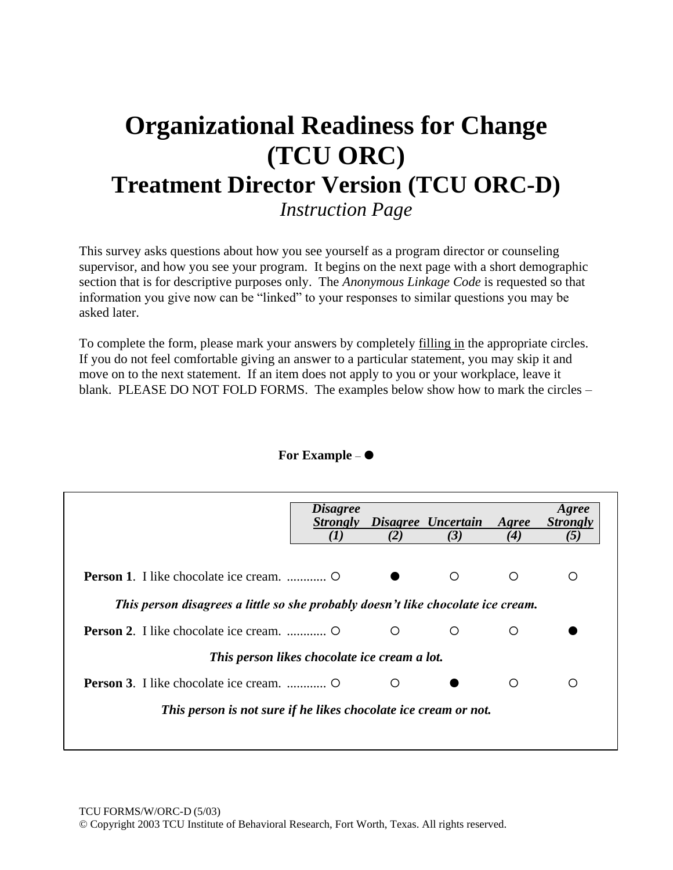# **Organizational Readiness for Change (TCU ORC) Treatment Director Version (TCU ORC-D)** *Instruction Page*

This survey asks questions about how you see yourself as a program director or counseling supervisor, and how you see your program. It begins on the next page with a short demographic section that is for descriptive purposes only. The *Anonymous Linkage Code* is requested so that information you give now can be "linked" to your responses to similar questions you may be asked later.

To complete the form, please mark your answers by completely filling in the appropriate circles. If you do not feel comfortable giving an answer to a particular statement, you may skip it and move on to the next statement. If an item does not apply to you or your workplace, leave it blank. PLEASE DO NOT FOLD FORMS. The examples below show how to mark the circles –

| For Example $-$ |
|-----------------|
|-----------------|

|                                                                                  | <i>Disagree</i><br><b>Strongly</b> | (2) | Disagree Uncertain<br>(3) | Agree<br>(4) | Agree<br><b>Strongly</b><br>(5) |  |  |
|----------------------------------------------------------------------------------|------------------------------------|-----|---------------------------|--------------|---------------------------------|--|--|
|                                                                                  |                                    |     | ◯                         | ◯            | Ω                               |  |  |
| This person disagrees a little so she probably doesn't like chocolate ice cream. |                                    |     |                           |              |                                 |  |  |
|                                                                                  |                                    | ∩   | ∩                         | ∩            |                                 |  |  |
| This person likes chocolate ice cream a lot.                                     |                                    |     |                           |              |                                 |  |  |
|                                                                                  |                                    | ∩   |                           | ∩            | ∩                               |  |  |
| This person is not sure if he likes chocolate ice cream or not.                  |                                    |     |                           |              |                                 |  |  |
|                                                                                  |                                    |     |                           |              |                                 |  |  |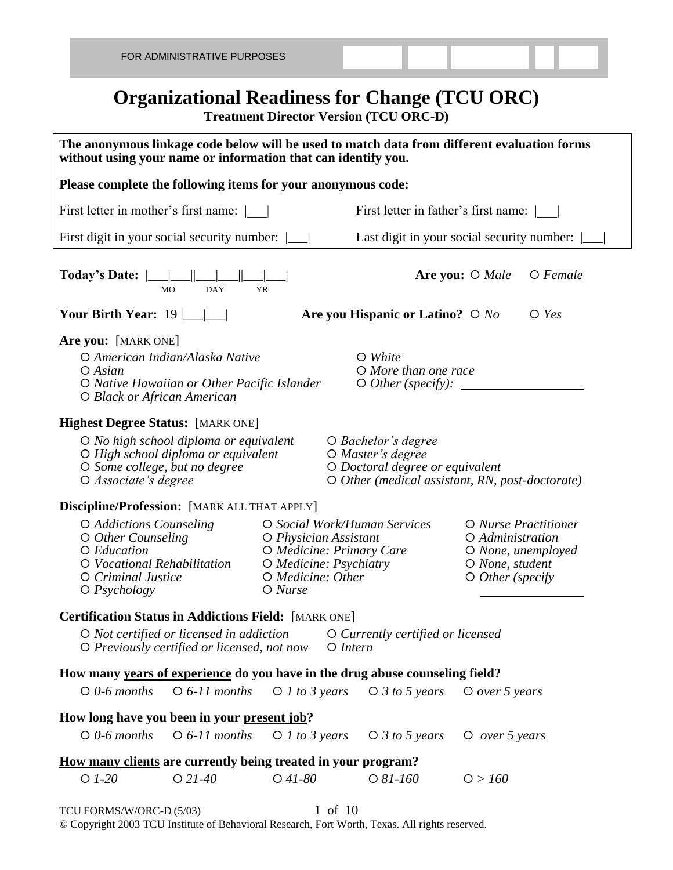## **Organizational Readiness for Change (TCU ORC)**

**Treatment Director Version (TCU ORC-D)**

| The anonymous linkage code below will be used to match data from different evaluation forms<br>without using your name or information that can identify you.                                                                                                                                                                                 |                                                                                                                                                        |                                                                        |                                                                                                                |  |  |  |  |  |  |  |
|----------------------------------------------------------------------------------------------------------------------------------------------------------------------------------------------------------------------------------------------------------------------------------------------------------------------------------------------|--------------------------------------------------------------------------------------------------------------------------------------------------------|------------------------------------------------------------------------|----------------------------------------------------------------------------------------------------------------|--|--|--|--|--|--|--|
| Please complete the following items for your anonymous code:                                                                                                                                                                                                                                                                                 |                                                                                                                                                        |                                                                        |                                                                                                                |  |  |  |  |  |  |  |
| First letter in mother's first name:                                                                                                                                                                                                                                                                                                         |                                                                                                                                                        | First letter in father's first name:                                   |                                                                                                                |  |  |  |  |  |  |  |
| First digit in your social security number:                                                                                                                                                                                                                                                                                                  |                                                                                                                                                        |                                                                        | Last digit in your social security number:                                                                     |  |  |  |  |  |  |  |
| $O$ Female<br>Today's Date: $\  \_\_ \ $<br>Are you: $\bigcirc$ Male<br><b>DAY</b><br><b>YR</b><br><b>MO</b>                                                                                                                                                                                                                                 |                                                                                                                                                        |                                                                        |                                                                                                                |  |  |  |  |  |  |  |
| Are you Hispanic or Latino? $\bigcirc$ No<br>Your Birth Year: $19 \mid \underline{\qquad} \mid \underline{\qquad}$<br>$\bigcirc$ Yes                                                                                                                                                                                                         |                                                                                                                                                        |                                                                        |                                                                                                                |  |  |  |  |  |  |  |
| Are you: [MARK ONE]<br>O American Indian/Alaska Native<br>$\circ$ White<br>$O$ Asian<br>$\bigcirc$ More than one race<br>O Native Hawaiian or Other Pacific Islander<br>$\circ$ Other (specify):<br>O Black or African American                                                                                                              |                                                                                                                                                        |                                                                        |                                                                                                                |  |  |  |  |  |  |  |
| <b>Highest Degree Status: [MARK ONE]</b><br>$\bigcirc$ No high school diploma or equivalent<br>$\bigcirc$ Bachelor's degree<br>O High school diploma or equivalent<br>O Master's degree<br>O Doctoral degree or equivalent<br>O Some college, but no degree<br>$\circ$ Other (medical assistant, RN, post-doctorate)<br>O Associate's degree |                                                                                                                                                        |                                                                        |                                                                                                                |  |  |  |  |  |  |  |
| Discipline/Profession: [MARK ALL THAT APPLY]                                                                                                                                                                                                                                                                                                 |                                                                                                                                                        |                                                                        |                                                                                                                |  |  |  |  |  |  |  |
| O Addictions Counseling<br>$\circ$ Other Counseling<br>O Education<br>O Vocational Rehabilitation<br>O Criminal Justice<br>$\bigcirc$ Psychology                                                                                                                                                                                             | O Social Work/Human Services<br>O Physician Assistant<br>O Medicine: Primary Care<br>O Medicine: Psychiatry<br>$O$ <i>Medicine: Other</i><br>$O$ Nurse |                                                                        | O Nurse Practitioner<br>O Administration<br>O None, unemployed<br>O None, student<br>$\bigcirc$ Other (specify |  |  |  |  |  |  |  |
| <b>Certification Status in Addictions Field:</b> [MARK ONE]                                                                                                                                                                                                                                                                                  |                                                                                                                                                        |                                                                        |                                                                                                                |  |  |  |  |  |  |  |
| $\bigcirc$ Not certified or licensed in addiction<br>$\circ$ Previously certified or licensed, not now                                                                                                                                                                                                                                       |                                                                                                                                                        | O Currently certified or licensed<br>$O$ Intern                        |                                                                                                                |  |  |  |  |  |  |  |
| How many years of experience do you have in the drug abuse counseling field?                                                                                                                                                                                                                                                                 |                                                                                                                                                        |                                                                        |                                                                                                                |  |  |  |  |  |  |  |
| $\circ$ 0-6 months                                                                                                                                                                                                                                                                                                                           |                                                                                                                                                        | $\bigcirc$ 6-11 months $\bigcirc$ 1 to 3 years $\bigcirc$ 3 to 5 years | $O$ over 5 years                                                                                               |  |  |  |  |  |  |  |
| How long have you been in your present job?<br>$\circ$ 0-6 months<br>$\circ$ 6-11 months                                                                                                                                                                                                                                                     |                                                                                                                                                        | $\bigcirc$ 1 to 3 years $\bigcirc$ 3 to 5 years                        | $O$ over 5 years                                                                                               |  |  |  |  |  |  |  |
| <u>How many clients</u> are currently being treated in your program?                                                                                                                                                                                                                                                                         |                                                                                                                                                        |                                                                        |                                                                                                                |  |  |  |  |  |  |  |
| $OI-20$<br>$O$ 21-40                                                                                                                                                                                                                                                                                                                         | $O$ 41-80                                                                                                                                              | $O 81 - 160$                                                           | O > 160                                                                                                        |  |  |  |  |  |  |  |
| TCU FORMS/W/ORC-D (5/03)                                                                                                                                                                                                                                                                                                                     |                                                                                                                                                        | 1 of 10                                                                |                                                                                                                |  |  |  |  |  |  |  |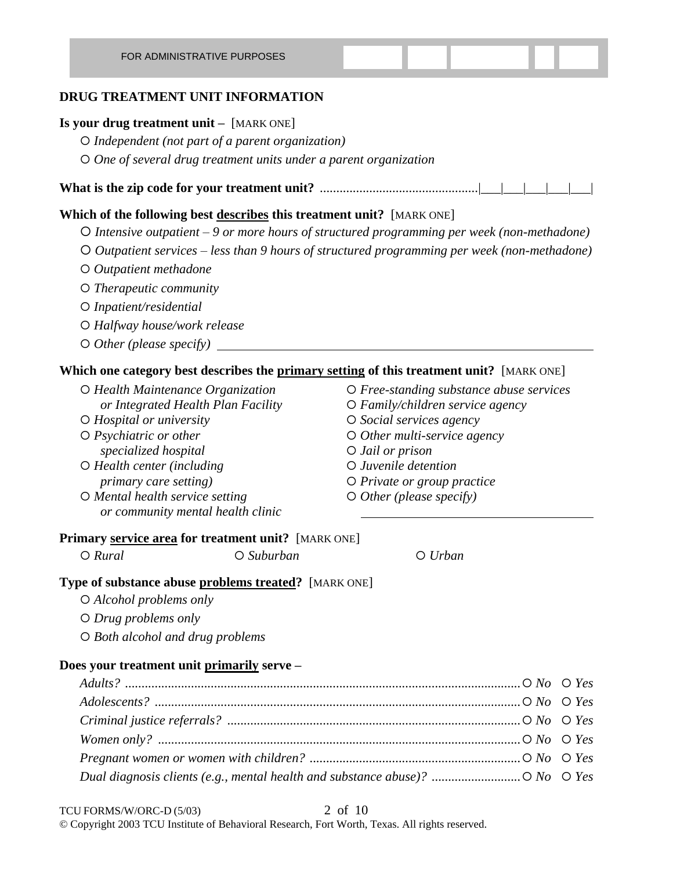#### **DRUG TREATMENT UNIT INFORMATION**

#### **Is your drug treatment unit –** [MARK ONE]

- *Independent (not part of a parent organization)*
- *One of several drug treatment units under a parent organization*
- **What is the zip code for your treatment unit?** ................................................|\_\_\_|\_\_\_|\_\_\_|\_\_\_|\_\_\_|

#### **Which of the following best describes this treatment unit?** [MARK ONE]

- *Intensive outpatient 9 or more hours of structured programming per week (non-methadone)*
- *Outpatient services less than 9 hours of structured programming per week (non-methadone)*
- *Outpatient methadone*
- *Therapeutic community*
- *Inpatient/residential*
- *Halfway house/work release*
- *Other (please specify)*

#### **Which one category best describes the primary setting of this treatment unit?** [MARK ONE]

- *or Integrated Health Plan Facility Family/children service agency*
- *Hospital or university Social services agency*
- *specialized hospital Jail or prison*
- *Health center (including Juvenile detention primary care setting*)  $\qquad \qquad \qquad$  *O Private or group practice*
- *Mental health service setting Other (please specify) or community mental health clinic*
- *Health Maintenance Organization Free-standing substance abuse services*
	-
	-
- *Psychiatric or other Other multi-service agency*
	-
	-
	-
	-

#### **Primary service area for treatment unit?** [MARK ONE]

*Rural Suburban Urban*

#### **Type of substance abuse problems treated?** [MARK ONE]

- *Alcohol problems only*
- *Drug problems only*
- *Both alcohol and drug problems*

#### **Does your treatment unit primarily serve –**

| Dual diagnosis clients (e.g., mental health and substance abuse)? $\circ$ No $\circ$ Yes |  |
|------------------------------------------------------------------------------------------|--|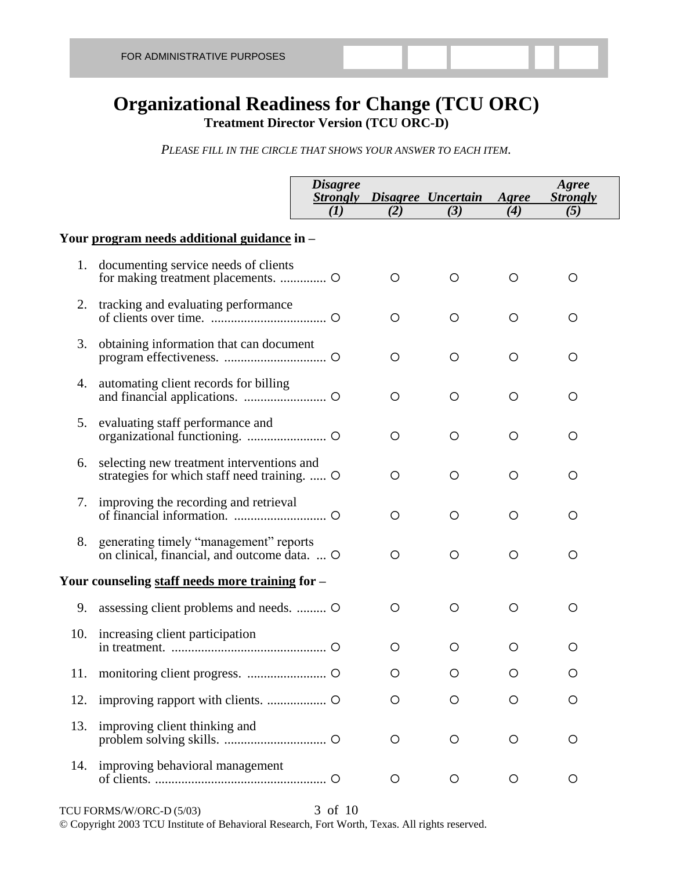### **Organizational Readiness for Change (TCU ORC) Treatment Director Version (TCU ORC-D)**

*PLEASE FILL IN THE CIRCLE THAT SHOWS YOUR ANSWER TO EACH ITEM.*

|     |                                                                                           | <b>Disagree</b><br><b>Strongly</b><br>(I) | (2) | Disagree Uncertain<br>(3) | Agree<br>(4) | Agree<br><b>Strongly</b><br>(5) |
|-----|-------------------------------------------------------------------------------------------|-------------------------------------------|-----|---------------------------|--------------|---------------------------------|
|     | Your program needs additional guidance in -                                               |                                           |     |                           |              |                                 |
| 1.  | documenting service needs of clients<br>for making treatment placements.  O               |                                           | O   | O                         | O            | $\circ$                         |
|     | 2. tracking and evaluating performance                                                    |                                           | O   | O                         | O            | O                               |
| 3.  | obtaining information that can document                                                   |                                           | O   | O                         | O            | O                               |
| 4.  | automating client records for billing                                                     |                                           | O   | O                         | $\circ$      | $\circ$                         |
| 5.  | evaluating staff performance and                                                          |                                           | O   | $\circ$                   | $\circ$      | $\circ$                         |
| 6.  | selecting new treatment interventions and<br>strategies for which staff need training.  O |                                           | O   | O                         | O            | O                               |
|     | 7. improving the recording and retrieval                                                  |                                           | O   | O                         | O            | $\circ$                         |
| 8.  | generating timely "management" reports<br>on clinical, financial, and outcome data.  O    |                                           | O   | $\circ$                   | $\circ$      | $\circ$                         |
|     | Your counseling staff needs more training for -                                           |                                           |     |                           |              |                                 |
| 9.  | assessing client problems and needs.  O                                                   |                                           | O   | $\circ$                   | $\circ$      | $\circ$                         |
|     | 10. increasing client participation                                                       |                                           | O   | O                         | O            | O                               |
| 11. |                                                                                           |                                           | O   | $\circ$                   | O            | $\circ$                         |
| 12. |                                                                                           |                                           | O   | O                         | O            | O                               |
| 13. | improving client thinking and                                                             |                                           | O   | $\circ$                   | $\circ$      | O                               |
| 14. | improving behavioral management                                                           |                                           | O   | $\circ$                   | O            | $\circ$                         |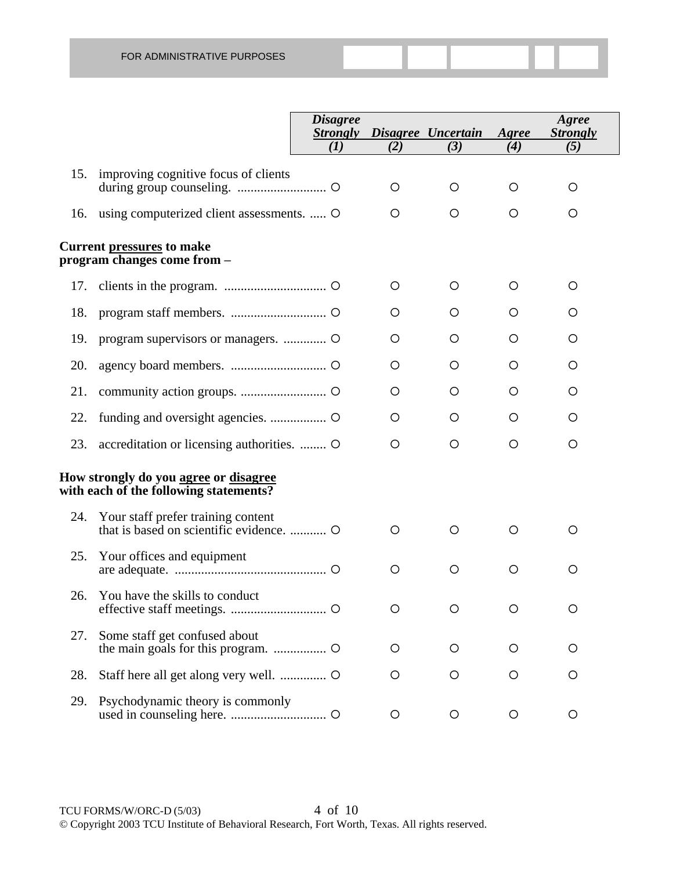|     |                                                                                               | <b>Disagree</b><br><b>Strongly</b> |         | Disagree Uncertain | Agree   | Agree<br><b>Strongly</b> |
|-----|-----------------------------------------------------------------------------------------------|------------------------------------|---------|--------------------|---------|--------------------------|
|     |                                                                                               | $\bf(1)$                           | (2)     | (3)                | (4)     | (5)                      |
| 15. | improving cognitive focus of clients                                                          |                                    | $\circ$ | O                  | O       | O                        |
| 16. | using computerized client assessments.  O                                                     |                                    | $\circ$ | O                  | O       | O                        |
|     | <b>Current pressures to make</b><br>program changes come from –                               |                                    |         |                    |         |                          |
| 17. |                                                                                               |                                    | $\circ$ | O                  | O       | O                        |
| 18. |                                                                                               |                                    | O       | O                  | O       | O                        |
| 19. |                                                                                               |                                    | O       | O                  | O       | O                        |
| 20. |                                                                                               |                                    | O       | O                  | O       | O                        |
| 21. |                                                                                               |                                    | O       | O                  | O       | O                        |
| 22. |                                                                                               |                                    | O       | O                  | $\circ$ | O                        |
| 23. | accreditation or licensing authorities.  O                                                    |                                    | O       | O                  | O       | O                        |
|     | How strongly do you <u>agree</u> or <u>disagree</u><br>with each of the following statements? |                                    |         |                    |         |                          |
| 24. | Your staff prefer training content                                                            |                                    | $\circ$ | O                  | O       | O                        |
| 25. | Your offices and equipment                                                                    |                                    | O       | O                  | O       | $\circ$                  |
| 26. | You have the skills to conduct                                                                |                                    | O       | $\circ$            | O       | O                        |
| 27. | Some staff get confused about                                                                 |                                    | O       | O                  | O       | O                        |
| 28. |                                                                                               |                                    | O       | O                  | O       | O                        |
| 29. | Psychodynamic theory is commonly                                                              |                                    | O       | $\circ$            | O       | O                        |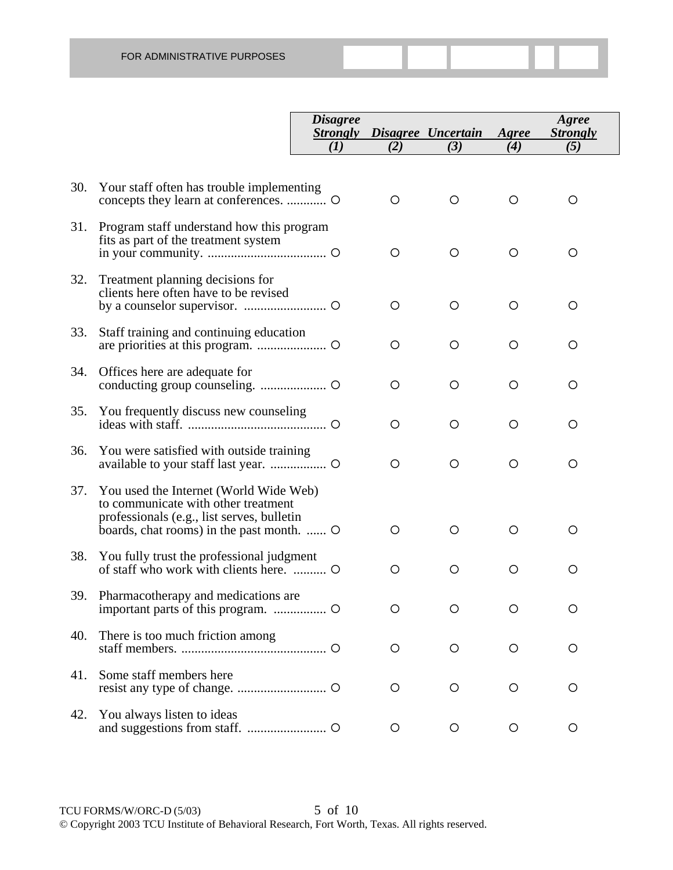|     |                                                                                                                                                                          | <i><b>Disagree</b></i><br><b>Strongly</b> |         | Disagree Uncertain | Agree | Agree<br><b>Strongly</b> |
|-----|--------------------------------------------------------------------------------------------------------------------------------------------------------------------------|-------------------------------------------|---------|--------------------|-------|--------------------------|
|     |                                                                                                                                                                          | (I)                                       | (2)     | (3)                | (4)   | (5)                      |
| 30. | Your staff often has trouble implementing                                                                                                                                |                                           | $\circ$ | O                  | O     | O                        |
| 31. | Program staff understand how this program<br>fits as part of the treatment system                                                                                        |                                           | O       | $\circ$            | O     | O                        |
| 32. | Treatment planning decisions for<br>clients here often have to be revised                                                                                                |                                           | O       | O                  | O     | O                        |
| 33. | Staff training and continuing education                                                                                                                                  |                                           | O       | O                  | O     | O                        |
| 34. | Offices here are adequate for                                                                                                                                            |                                           | O       | O                  | O     | O                        |
| 35. | You frequently discuss new counseling                                                                                                                                    |                                           | O       | O                  | O     | O                        |
| 36. | You were satisfied with outside training                                                                                                                                 |                                           | O       | O                  | O     | O                        |
| 37. | You used the Internet (World Wide Web)<br>to communicate with other treatment<br>professionals (e.g., list serves, bulletin<br>boards, chat rooms) in the past month.  O |                                           | O       | O                  | O     | O                        |
| 38. | You fully trust the professional judgment                                                                                                                                |                                           | O       | O                  | O     | O                        |
| 39. | Pharmacotherapy and medications are                                                                                                                                      |                                           | O       | O                  | O     | O                        |
| 40. | There is too much friction among                                                                                                                                         |                                           | O       | $\circ$            | O     | O                        |
| 41. | Some staff members here                                                                                                                                                  |                                           | $\circ$ | O                  | O     | O                        |
| 42. | You always listen to ideas                                                                                                                                               |                                           | O       | O                  | O     | O                        |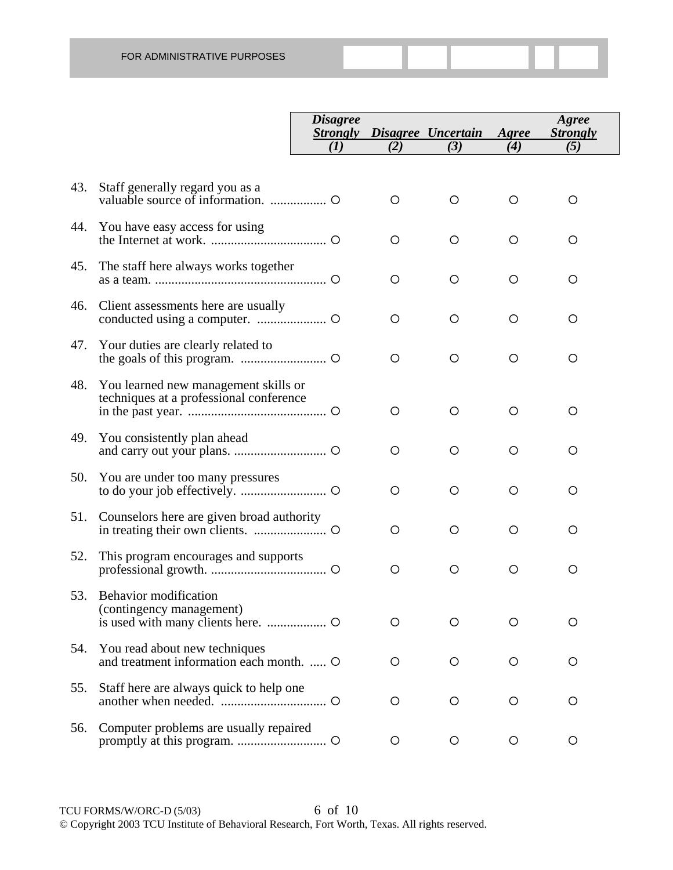|     |                                                                                 | <b>Disagree</b><br><b>Strongly</b> |     | Disagree Uncertain | Agree | Agree<br><b>Strongly</b> |
|-----|---------------------------------------------------------------------------------|------------------------------------|-----|--------------------|-------|--------------------------|
|     |                                                                                 | $\mathcal{L}(I)$                   | (2) | (3)                | (4)   | (5)                      |
|     |                                                                                 |                                    |     |                    |       |                          |
| 43. | Staff generally regard you as a                                                 |                                    | O   | O                  | O     | O                        |
| 44. | You have easy access for using                                                  |                                    | O   | O                  | O     | O                        |
| 45. | The staff here always works together                                            |                                    | O   | O                  | O     | O                        |
| 46. | Client assessments here are usually                                             |                                    | O   | O                  | O     | O                        |
| 47. | Your duties are clearly related to                                              |                                    | O   | O                  | O     | O                        |
| 48. | You learned new management skills or<br>techniques at a professional conference |                                    | O   | O                  | O     | O                        |
| 49. | You consistently plan ahead                                                     |                                    | O   | O                  | O     | O                        |
| 50. | You are under too many pressures                                                |                                    | O   | O                  | O     | O                        |
| 51. | Counselors here are given broad authority                                       |                                    | O   | O                  | O     | O                        |
| 52. | This program encourages and supports                                            |                                    | O   | O                  | O     | $\circ$                  |
| 53. | Behavior modification<br>(contingency management)                               |                                    | O   | ◯                  |       | ◯                        |
| 54. | You read about new techniques<br>and treatment information each month.  O       |                                    | O   | O                  | O     | O                        |
| 55. | Staff here are always quick to help one                                         |                                    | O   | O                  | O     | O                        |
| 56. | Computer problems are usually repaired                                          |                                    | O   | O                  | O     | O                        |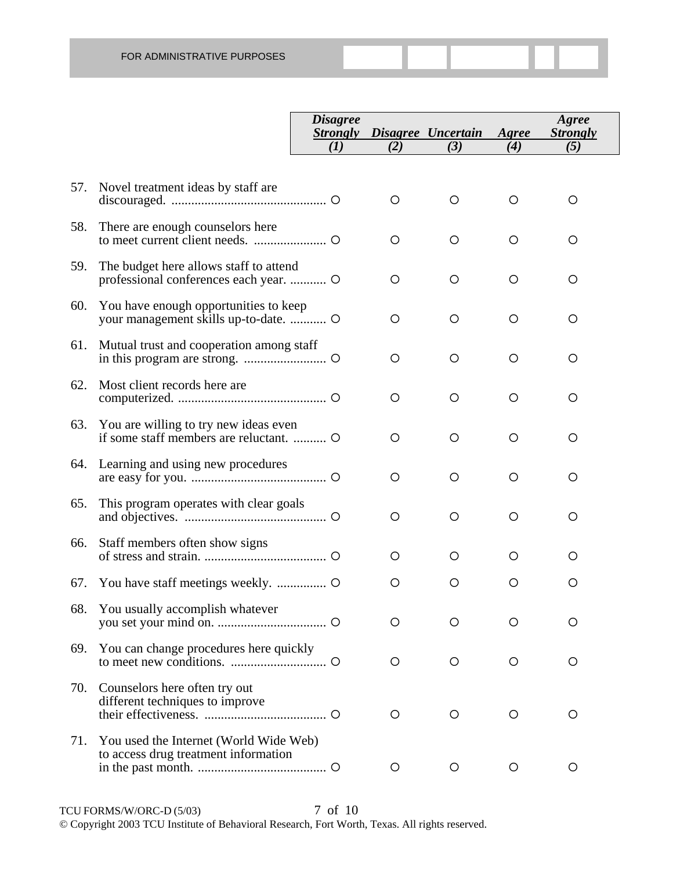|     |                                                                                  | <b>Disagree</b><br><b>Strongly</b> |     | Disagree Uncertain | Agree | Agree<br><b>Strongly</b> |
|-----|----------------------------------------------------------------------------------|------------------------------------|-----|--------------------|-------|--------------------------|
|     |                                                                                  | $\mathcal{L}(I)$                   | (2) | (3)                | (4)   | (5)                      |
| 57. | Novel treatment ideas by staff are                                               |                                    | O   | O                  | O     | O                        |
| 58. | There are enough counselors here                                                 |                                    | O   | O                  | O     | O                        |
| 59. | The budget here allows staff to attend<br>professional conferences each year.  O |                                    | O   | O                  | O     | O                        |
| 60. | You have enough opportunities to keep<br>your management skills up-to-date.  O   |                                    | O   | O                  | O     | O                        |
| 61. | Mutual trust and cooperation among staff                                         |                                    | O   | O                  | O     | O                        |
| 62. | Most client records here are                                                     |                                    | O   | O                  | O     | O                        |
| 63. | You are willing to try new ideas even                                            |                                    | O   | O                  | O     | O                        |
|     | 64. Learning and using new procedures                                            |                                    | O   | O                  | O     | O                        |
| 65. | This program operates with clear goals                                           |                                    | O   | O                  | O     | O                        |
| 66. | Staff members often show signs                                                   |                                    | O   | O                  | O     | O                        |
| 67. |                                                                                  |                                    | O   | O                  | O     | O                        |
| 68. | You usually accomplish whatever                                                  |                                    | O   | ◯                  | ◯     | O                        |
| 69. | You can change procedures here quickly                                           |                                    | О   | O                  | O     | O                        |
| 70. | Counselors here often try out<br>different techniques to improve                 |                                    | O   | O                  | O     | O                        |
| 71. | You used the Internet (World Wide Web)<br>to access drug treatment information   |                                    | O   | O                  | O     | $\circ$                  |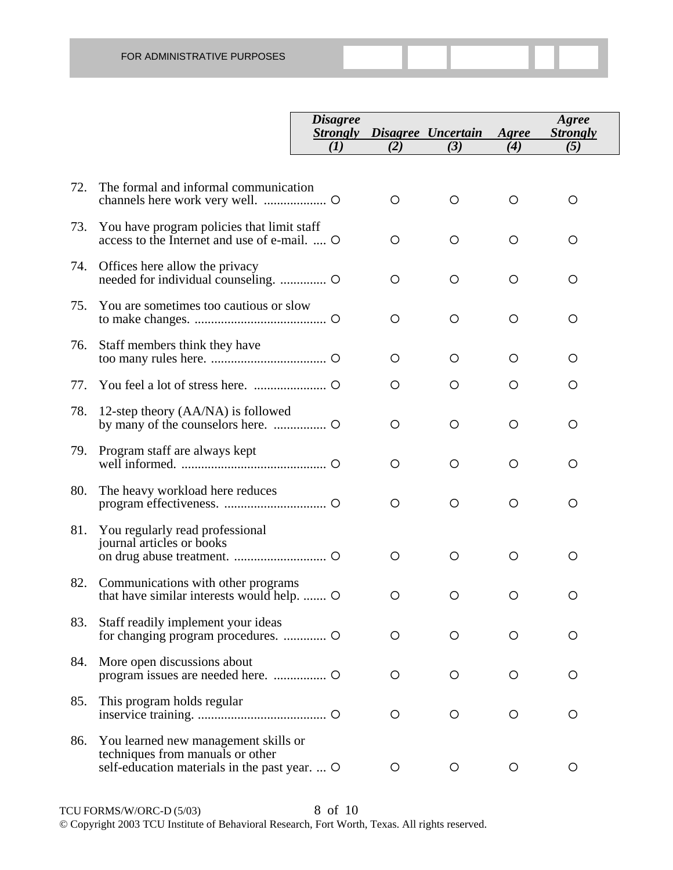|     |                                                                                                                           | <b>Disagree</b><br><b>Strongly</b> |         | Disagree Uncertain | Agree | Agree<br><b>Strongly</b> |
|-----|---------------------------------------------------------------------------------------------------------------------------|------------------------------------|---------|--------------------|-------|--------------------------|
|     |                                                                                                                           | $\bf{(}I\bf{)}$                    | (2)     | (3)                | (4)   | (5)                      |
|     |                                                                                                                           |                                    |         |                    |       |                          |
| 72. | The formal and informal communication                                                                                     |                                    | O       | $\circ$            | O     | O                        |
| 73. | You have program policies that limit staff<br>access to the Internet and use of e-mail.  O                                |                                    | O       | $\circ$            | O     | O                        |
| 74. | Offices here allow the privacy                                                                                            |                                    | O       | O                  | O     | O                        |
| 75. | You are sometimes too cautious or slow                                                                                    |                                    | O       | $\circ$            | O     | O                        |
| 76. | Staff members think they have                                                                                             |                                    | $\circ$ | $\circ$            | O     | O                        |
| 77. |                                                                                                                           |                                    | $\circ$ | O                  | O     | O                        |
| 78. | 12-step theory (AA/NA) is followed                                                                                        |                                    | O       | $\circ$            | O     | O                        |
| 79. | Program staff are always kept                                                                                             |                                    | O       | $\circ$            | O     | O                        |
| 80. | The heavy workload here reduces                                                                                           |                                    | O       | O                  | O     | O                        |
| 81. | You regularly read professional<br>journal articles or books                                                              |                                    | $\circ$ | $\circ$            | O     | O                        |
| 82. | Communications with other programs<br>that have similar interests would help.                                             |                                    | $\circ$ | O                  | O     | O                        |
| 83. | Staff readily implement your ideas                                                                                        |                                    | O       | O                  | O     | O                        |
| 84. | More open discussions about                                                                                               |                                    | $\circ$ | $\circ$            | O     | O                        |
| 85. | This program holds regular                                                                                                |                                    | $\circ$ | O                  | O     | O                        |
| 86. | You learned new management skills or<br>techniques from manuals or other<br>self-education materials in the past year.  O |                                    | $\circ$ | $\circ$            | O     | O                        |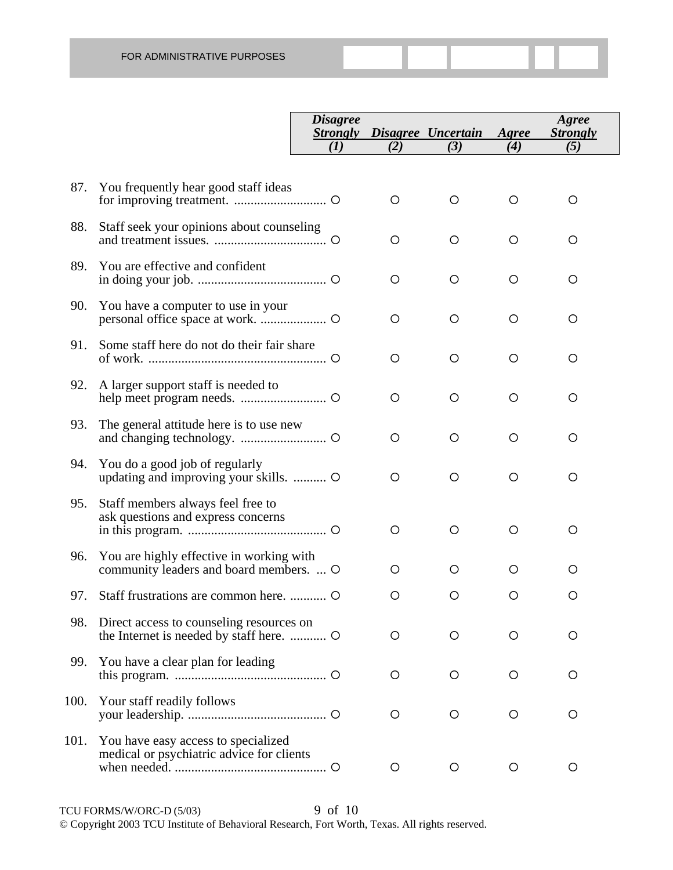|      |                                                                                      | <b>Disagree</b><br><b>Strongly</b> |         | Disagree Uncertain | Agree | Agree<br><b>Strongly</b> |
|------|--------------------------------------------------------------------------------------|------------------------------------|---------|--------------------|-------|--------------------------|
|      |                                                                                      | (I)                                | (2)     | (3)                | (4)   | (5)                      |
|      |                                                                                      |                                    |         |                    |       |                          |
| 87.  | You frequently hear good staff ideas                                                 |                                    | O       | O                  | O     | $\circ$                  |
| 88.  | Staff seek your opinions about counseling                                            |                                    | $\circ$ | O                  | O     | O                        |
| 89.  | You are effective and confident                                                      |                                    | O       | O                  | O     | O                        |
| 90.  | You have a computer to use in your                                                   |                                    | O       | O                  | O     | O                        |
| 91.  | Some staff here do not do their fair share                                           |                                    | O       | O                  | O     | O                        |
| 92.  | A larger support staff is needed to                                                  |                                    | $\circ$ | O                  | O     | O                        |
| 93.  | The general attitude here is to use new                                              |                                    | $\circ$ | O                  | O     | O                        |
| 94.  | You do a good job of regularly<br>updating and improving your skills.  O             |                                    | $\circ$ | O                  | O     | O                        |
| 95.  | Staff members always feel free to<br>ask questions and express concerns              |                                    | O       | O                  | O     | $\circ$                  |
| 96.  | You are highly effective in working with<br>community leaders and board members.  O  |                                    | O       | $\circ$            | O     | O                        |
| 97.  |                                                                                      |                                    | O       | $\circ$            | O     | О                        |
| 98.  | Direct access to counseling resources on<br>the Internet is needed by staff here.  O |                                    | O       | O                  | O     | O                        |
| 99.  | You have a clear plan for leading                                                    |                                    | O       | O                  | O     | O                        |
| 100. | Your staff readily follows                                                           |                                    | O       | O                  | O     | O                        |
| 101. | You have easy access to specialized<br>medical or psychiatric advice for clients     |                                    | O       | O                  | O     | O                        |